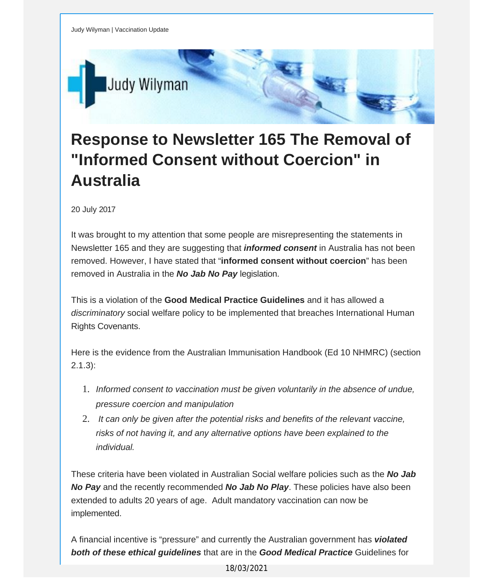

## **Response to Newsletter 165 The Removal of "Informed Consent without Coercion" in Australia**

20 July 2017

It was brought to my attention that some people are misrepresenting the statements in Newsletter 165 and they are suggesting that *informed consent* in Australia has not been removed. However, I have stated that "**informed consent without coercion**" has been removed in Australia in the *No Jab No Pay* legislation.

This is a violation of the **Good Medical Practice Guidelines** and it has allowed a *discriminatory* social welfare policy to be implemented that breaches International Human Rights Covenants.

Here is the evidence from the Australian Immunisation Handbook (Ed 10 NHMRC) (section  $2.1.3$ :

- 1. *Informed consent to vaccination must be given voluntarily in the absence of undue, pressure coercion and manipulation*
- 2. *It can only be given after the potential risks and benefits of the relevant vaccine, risks of not having it, and any alternative options have been explained to the individual.*

These criteria have been violated in Australian Social welfare policies such as the *No Jab No Pay* and the recently recommended *No Jab No Play*. These policies have also been extended to adults 20 years of age. Adult mandatory vaccination can now be implemented.

A financial incentive is "pressure" and currently the Australian government has *violated both of these ethical guidelines* that are in the *Good Medical Practice* Guidelines for

18/03/2021